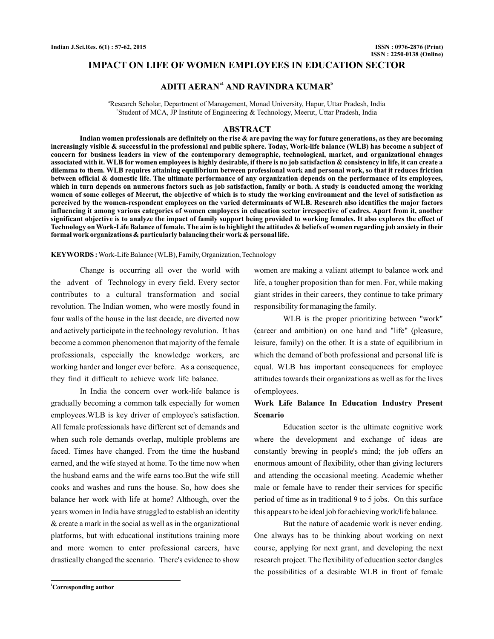## **IMPACT ON LIFE OF WOMEN EMPLOYEES IN EDUCATION SECTOR**

# **ADITI AERANa1 AND RAVINDRA KUMAR<sup>b</sup>**

a Research Scholar, Department of Management, Monad University, Hapur, Uttar Pradesh, India b Student of MCA, JP Institute of Engineering & Technology, Meerut, Uttar Pradesh, India

#### **ABSTRACT**

**Indian women professionals are definitely on the rise & are paving the way for future generations, as they are becoming increasingly visible & successful in the professional and public sphere. Today, Work-life balance (WLB) has become a subject of concern for business leaders in view of the contemporary demographic, technological, market, and organizational changes associated with it. WLB for women employees is highly desirable, if there is no job satisfaction & consistency in life, it can create a dilemma to them. WLB requires attaining equilibrium between professional work and personal work, so that it reduces friction between official & domestic life. The ultimate performance of any organization depends on the performance of its employees, which in turn depends on numerous factors such as job satisfaction, family or both. A study is conducted among the working women of some colleges of Meerut, the objective of which is to study the working environment and the level of satisfaction as perceived by the women-respondent employees on the varied determinants of WLB. Research also identifies the major factors influencing it among various categories of women employees in education sector irrespective of cadres. Apart from it, another significant objective is to analyze the impact of family support being provided to working females. It also explores the effect of Technology on Work-Life Balance of female. The aim is to highlight the attitudes & beliefs of women regarding job anxiety in their formal work organizations & particularly balancing their work & personal life.**

**KEYWORDS :** Work-Life Balance (WLB), Family, Organization, Technology

Change is occurring all over the world with the advent of Technology in every field. Every sector contributes to a cultural transformation and social revolution. The Indian women, who were mostly found in four walls of the house in the last decade, are diverted now and actively participate in the technology revolution. It has become a common phenomenon that majority of the female professionals, especially the knowledge workers, are working harder and longer ever before. As a consequence, they find it difficult to achieve work life balance.

In India the concern over work-life balance is gradually becoming a common talk especially for women employees.WLB is key driver of employee's satisfaction. All female professionals have different set of demands and when such role demands overlap, multiple problems are faced. Times have changed. From the time the husband earned, and the wife stayed at home. To the time now when the husband earns and the wife earns too.But the wife still cooks and washes and runs the house. So, how does she balance her work with life at home? Although, over the years women in India have struggled to establish an identity & create a mark in the social as well as in the organizational platforms, but with educational institutions training more and more women to enter professional careers, have drastically changed the scenario. There's evidence to show

women are making a valiant attempt to balance work and life, a tougher proposition than for men. For, while making giant strides in their careers, they continue to take primary responsibility for managing the family.

WLB is the proper prioritizing between "work" (career and ambition) on one hand and "life" (pleasure, leisure, family) on the other. It is a state of equilibrium in which the demand of both professional and personal life is equal. WLB has important consequences for employee attitudes towards their organizations as well as for the lives of employees.

# **Work Life Balance In Education Industry Present Scenario**

Education sector is the ultimate cognitive work where the development and exchange of ideas are constantly brewing in people's mind; the job offers an enormous amount of flexibility, other than giving lecturers and attending the occasional meeting. Academic whether male or female have to render their services for specific period of time as in traditional 9 to 5 jobs. On this surface this appears to be ideal job for achieving work/life balance.

But the nature of academic work is never ending. One always has to be thinking about working on next course, applying for next grant, and developing the next research project. The flexibility of education sector dangles the possibilities of a desirable WLB in front of female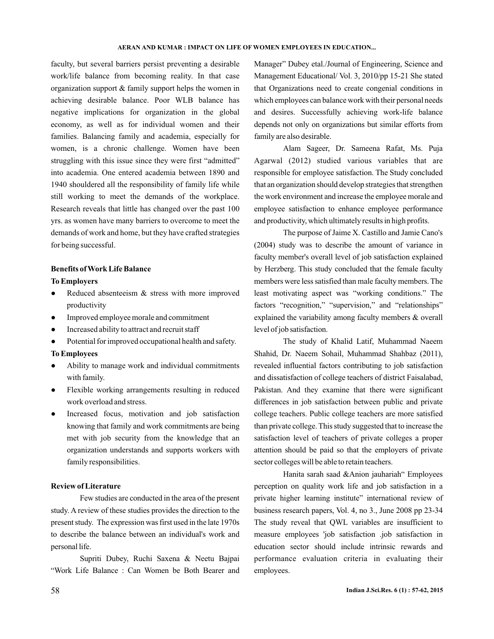#### **AERAN AND KUMAR : IMPACT ON LIFE OF WOMEN EMPLOYEES IN EDUCATION...**

faculty, but several barriers persist preventing a desirable work/life balance from becoming reality. In that case organization support & family support helps the women in achieving desirable balance. Poor WLB balance has negative implications for organization in the global economy, as well as for individual women and their families. Balancing family and academia, especially for women, is a chronic challenge. Women have been struggling with this issue since they were first "admitted" into academia. One entered academia between 1890 and 1940 shouldered all the responsibility of family life while still working to meet the demands of the workplace. Research reveals that little has changed over the past 100 yrs. as women have many barriers to overcome to meet the demands of work and home, but they have crafted strategies for being successful.

## **Benefits of Work Life Balance**

## **To Employers**

- Reduced absenteeism & stress with more improved productivity  $\bullet$
- Improved employee morale and commitment
- Increased ability to attract and recruit staff
- Potential for improved occupational health and safety.

### **To Employees**

- Ability to manage work and individual commitments with family.
- Flexible working arrangements resulting in reduced work overload and stress.
- Increased focus, motivation and job satisfaction knowing that family and work commitments are being met with job security from the knowledge that an organization understands and supports workers with family responsibilities.

### **Review of Literature**

Few studies are conducted in the area of the present study. A review of these studies provides the direction to the present study. The expression was first used in the late 1970s to describe the balance between an individual's work and personal life.

Supriti Dubey, Ruchi Saxena & Neetu Bajpai "Work Life Balance : Can Women be Both Bearer and

Manager" Dubey etal./Journal of Engineering, Science and Management Educational/ Vol. 3, 2010/pp 15-21 She stated that Organizations need to create congenial conditions in which employees can balance work with their personal needs and desires. Successfully achieving work-life balance depends not only on organizations but similar efforts from family are also desirable.

Alam Sageer, Dr. Sameena Rafat, Ms. Puja Agarwal (2012) studied various variables that are responsible for employee satisfaction. The Study concluded that an organization should develop strategies that strengthen the work environment and increase the employee morale and employee satisfaction to enhance employee performance and productivity, which ultimately results in high profits.

The purpose of Jaime X. Castillo and Jamie Cano's (2004) study was to describe the amount of variance in faculty member's overall level of job satisfaction explained by Herzberg. This study concluded that the female faculty members were less satisfied than male faculty members. The least motivating aspect was "working conditions." The factors "recognition," "supervision," and "relationships" explained the variability among faculty members & overall level of job satisfaction.

The study of Khalid Latif, Muhammad Naeem Shahid, Dr. Naeem Sohail, Muhammad Shahbaz (2011), revealed influential factors contributing to job satisfaction and dissatisfaction of college teachers of district Faisalabad, Pakistan. And they examine that there were significant differences in job satisfaction between public and private college teachers. Public college teachers are more satisfied than private college. This study suggested that to increase the satisfaction level of teachers of private colleges a proper attention should be paid so that the employers of private sector colleges will be able to retain teachers.

Hanita sarah saad &Anion jauhariah" Employees perception on quality work life and job satisfaction in a private higher learning institute" international review of business research papers, Vol. 4, no 3., June 2008 pp 23-34 The study reveal that QWL variables are insufficient to measure employees 'job satisfaction .job satisfaction in education sector should include intrinsic rewards and performance evaluation criteria in evaluating their employees.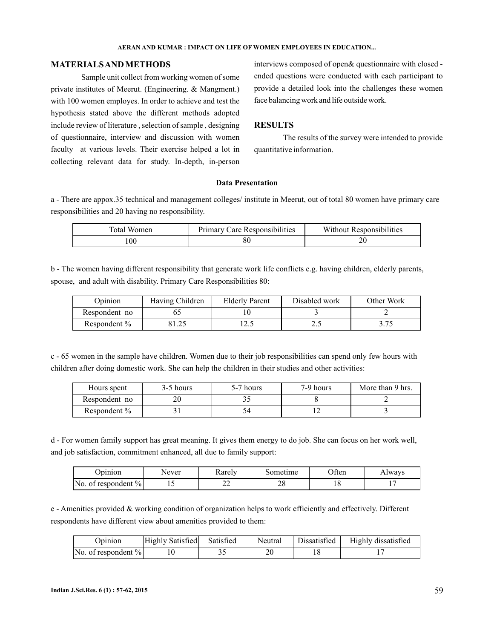#### **AERAN AND KUMAR : IMPACT ON LIFE OF WOMEN EMPLOYEES IN EDUCATION...**

## **MATERIALSAND METHODS**

Sample unit collect from working women of some private institutes of Meerut. (Engineering. & Mangment.) with 100 women employes. In order to achieve and test the hypothesis stated above the different methods adopted include review of literature , selection of sample , designing of questionnaire, interview and discussion with women faculty at various levels. Their exercise helped a lot in collecting relevant data for study. In-depth, in-person interviews composed of open& questionnaire with closed ended questions were conducted with each participant to provide a detailed look into the challenges these women face balancing work and life outside work.

# **RESULTS**

The results of the survey were intended to provide quantitative information.

#### **Data Presentation**

a - There are appox.35 technical and management colleges/ institute in Meerut, out of total 80 women have primary care responsibilities and 20 having no responsibility.

| l'otal<br>Women | .<br>Responsibilities<br>eare<br>Primarv | <b>Responsibilities</b><br>Without. |
|-----------------|------------------------------------------|-------------------------------------|
| $\overline{00}$ | οv                                       | $\mathbf{\hat{}}$<br>∠∪             |

b - The women having different responsibility that generate work life conflicts e.g. having children, elderly parents, spouse, and adult with disability. Primary Care Responsibilities 80:

| Opinion         | Having Children | <b>Elderly Parent</b> | Disabled work | Other Work |
|-----------------|-----------------|-----------------------|---------------|------------|
| Respondent no   |                 |                       |               |            |
| Respondent $\%$ | ጋ1 ግዳ           | ن کا                  | ن ، ت         |            |

c - 65 women in the sample have children. Women due to their job responsibilities can spend only few hours with children after doing domestic work. She can help the children in their studies and other activities:

| Hours spent     | 3-5 hours | 5-7 hours | 7-9 hours | More than 9 hrs. |
|-----------------|-----------|-----------|-----------|------------------|
| Respondent no   |           |           |           |                  |
| Respondent $\%$ |           |           |           |                  |

d - For women family support has great meaning. It gives them energy to do job. She can focus on her work well, and job satisfaction, commitment enhanced, all due to family support:

| Jpinion                          | Never | Rarely                   | Sometime | Often | Always |
|----------------------------------|-------|--------------------------|----------|-------|--------|
| $\mathsf{No}$ of respondent $\%$ | . .   | $\overline{\phantom{m}}$ | 40       |       |        |

e - Amenities provided & working condition of organization helps to work efficiently and effectively. Different respondents have different view about amenities provided to them:

| Jpinion                             | Highly Satisfied | Satisfied | Neutral | Dissatisfied | Highly dissatisfied |
|-------------------------------------|------------------|-----------|---------|--------------|---------------------|
| $\vert$ No. of respondent % $\vert$ |                  | ۔ ر       | 20      |              |                     |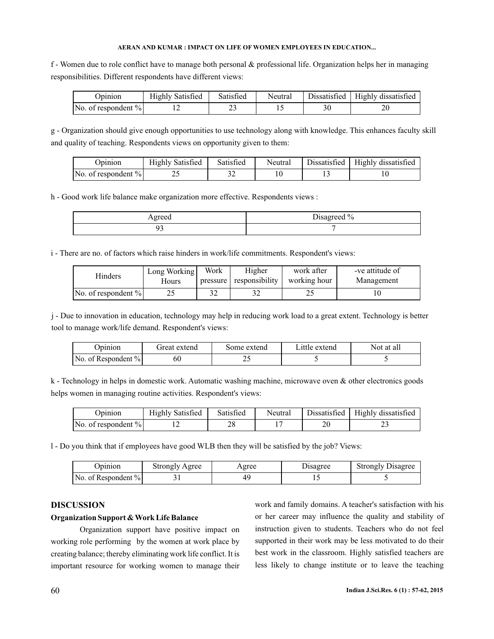### **AERAN AND KUMAR : IMPACT ON LIFE OF WOMEN EMPLOYEES IN EDUCATION...**

f - Women due to role conflict have to manage both personal & professional life. Organization helps her in managing responsibilities. Different respondents have different views:

| Jpinion                | <b>Highly Satisfied</b> | Satisfied | Neutral | Dissatisfied   Highly dissatisfied |
|------------------------|-------------------------|-----------|---------|------------------------------------|
| No. of respondent $\%$ |                         |           |         | ∠∪                                 |

g - Organization should give enough opportunities to use technology along with knowledge. This enhances faculty skill and quality of teaching. Respondents views on opportunity given to them:

| Jpinion                | <b>Highly Satisfied</b> | Satisfied | Neutral | Dissatisfied   Highly dissatisfied |
|------------------------|-------------------------|-----------|---------|------------------------------------|
| No. of respondent $\%$ |                         |           |         |                                    |

h - Good work life balance make organization more effective. Respondents views :

| Agreed | Disagreed % |
|--------|-------------|
|        |             |

i - There are no. of factors which raise hinders in work/life commitments. Respondent's views:

| Hinders                | Long Working | Work | Higher                  | work after   | -ve attitude of |
|------------------------|--------------|------|-------------------------|--------------|-----------------|
|                        | Hours        |      | pressure responsibility | working hour | Management      |
| No. of respondent $\%$ |              | 32   |                         | ت سے         |                 |

j - Due to innovation in education, technology may help in reducing work load to a great extent. Technology is better tool to manage work/life demand. Respondent's views:

| Jpinion                             | Great extend | Some extend | Little extend | Not at all |
|-------------------------------------|--------------|-------------|---------------|------------|
| $\vert$ No. of Respondent % $\vert$ | 60           | ~~          |               |            |

k - Technology in helps in domestic work. Automatic washing machine, microwave oven & other electronics goods helps women in managing routine activities. Respondent's views:

| Jpinion                | Highly Satisfied | Satisfied | Neutral | Dissatisfied | Highly dissatisfied |
|------------------------|------------------|-----------|---------|--------------|---------------------|
| No. of respondent $\%$ |                  | າດ<br>-46 |         | 20           | ت سے                |

l - Do you think that if employees have good WLB then they will be satisfied by the job? Views:

| Jpinion.                            | Strongly Agree | Agree | Disagree | <b>Strongly Disagree</b> |
|-------------------------------------|----------------|-------|----------|--------------------------|
| $\vert$ No. of Respondent % $\vert$ |                |       |          |                          |

## **DISCUSSION**

## **Organization Support & Work Life Balance**

Organization support have positive impact on working role performing by the women at work place by creating balance; thereby eliminating work life conflict. It is important resource for working women to manage their work and family domains. A teacher's satisfaction with his or her career may influence the quality and stability of instruction given to students. Teachers who do not feel supported in their work may be less motivated to do their best work in the classroom. Highly satisfied teachers are less likely to change institute or to leave the teaching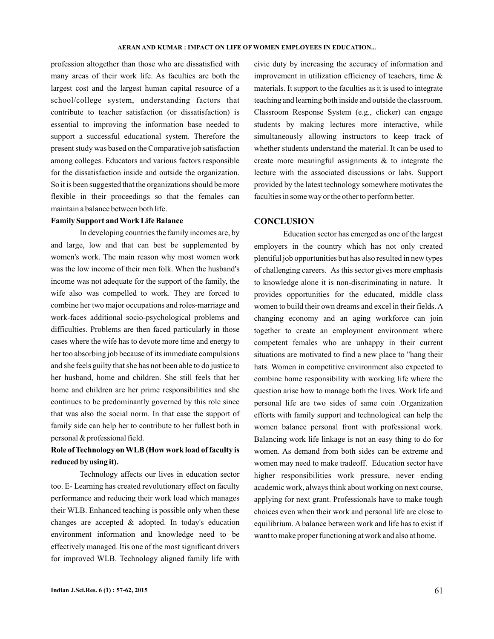profession altogether than those who are dissatisfied with many areas of their work life. As faculties are both the largest cost and the largest human capital resource of a school/college system, understanding factors that contribute to teacher satisfaction (or dissatisfaction) is essential to improving the information base needed to support a successful educational system. Therefore the present study was based on the Comparative job satisfaction among colleges. Educators and various factors responsible for the dissatisfaction inside and outside the organization. So it is been suggested that the organizations should be more flexible in their proceedings so that the females can maintain a balance between both life.

### **Family Support and Work Life Balance**

In developing countries the family incomes are, by and large, low and that can best be supplemented by women's work. The main reason why most women work was the low income of their men folk. When the husband's income was not adequate for the support of the family, the wife also was compelled to work. They are forced to combine her two major occupations and roles-marriage and work-faces additional socio-psychological problems and difficulties. Problems are then faced particularly in those cases where the wife has to devote more time and energy to her too absorbing job because of its immediate compulsions and she feels guilty that she has not been able to do justice to her husband, home and children. She still feels that her home and children are her prime responsibilities and she continues to be predominantly governed by this role since that was also the social norm. In that case the support of family side can help her to contribute to her fullest both in personal & professional field.

# **Role of Technology on WLB (How work load of faculty is reduced by using it).**

Technology affects our lives in education sector too. E- Learning has created revolutionary effect on faculty performance and reducing their work load which manages their WLB. Enhanced teaching is possible only when these changes are accepted & adopted. In today's education environment information and knowledge need to be effectively managed. Itis one of the most significant drivers for improved WLB. Technology aligned family life with

civic duty by increasing the accuracy of information and improvement in utilization efficiency of teachers, time & materials. It support to the faculties as it is used to integrate teaching and learning both inside and outside the classroom. Classroom Response System (e.g., clicker) can engage students by making lectures more interactive, while simultaneously allowing instructors to keep track of whether students understand the material. It can be used to create more meaningful assignments & to integrate the lecture with the associated discussions or labs. Support provided by the latest technology somewhere motivates the faculties in some way or the other to perform better.

## **CONCLUSION**

Education sector has emerged as one of the largest employers in the country which has not only created plentiful job opportunities but has also resulted in new types of challenging careers. As this sector gives more emphasis to knowledge alone it is non-discriminating in nature. It provides opportunities for the educated, middle class women to build their own dreams and excel in their fields.A changing economy and an aging workforce can join together to create an employment environment where competent females who are unhappy in their current situations are motivated to find a new place to "hang their hats. Women in competitive environment also expected to combine home responsibility with working life where the question arise how to manage both the lives. Work life and personal life are two sides of same coin .Organization efforts with family support and technological can help the women balance personal front with professional work. Balancing work life linkage is not an easy thing to do for women. As demand from both sides can be extreme and women may need to make tradeoff. Education sector have higher responsibilities work pressure, never ending academic work, always think about working on next course, applying for next grant. Professionals have to make tough choices even when their work and personal life are close to equilibrium. A balance between work and life has to exist if want to make proper functioning at work and also at home.